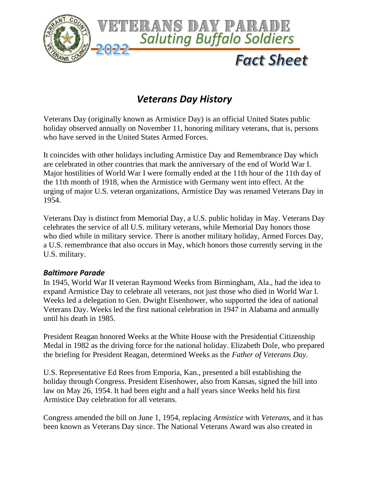

## *Veterans Day History*

Veterans Day (originally known as Armistice Day) is an official [United States public](https://en.wikipedia.org/wiki/Public_holidays_in_the_United_States)  [holiday](https://en.wikipedia.org/wiki/Public_holidays_in_the_United_States) observed annually on November 11, honoring [military veterans,](https://en.wikipedia.org/wiki/Veteran) that is, persons who have served in the [United States Armed Forces.](https://en.wikipedia.org/wiki/United_States_Armed_Forces)

It coincides with other holidays including [Armistice Day](https://en.wikipedia.org/wiki/Armistice_Day) and [Remembrance Day](https://en.wikipedia.org/wiki/Remembrance_Day) which are celebrated in other countries that mark the anniversary of the end of [World War I.](https://en.wikipedia.org/wiki/World_War_I) Major hostilities of World War I were formally ended at the 11th hour of the 11th day of the 11th month of 1918, when the [Armistice with Germany](https://en.wikipedia.org/wiki/Armistice_with_Germany) went into effect. At the urging of major U.S. veteran organizations, Armistice Day was renamed Veterans Day in 1954.

Veterans Day is distinct from [Memorial Day,](https://en.wikipedia.org/wiki/Memorial_Day) a U.S. public holiday in May. Veterans Day celebrates the service of all U.S. military veterans, while Memorial Day honors those who died while in military service. There is another military holiday, [Armed Forces Day,](https://en.wikipedia.org/wiki/Armed_Forces_Day#United_States) a U.S. remembrance that also occurs in May, which honors those currently serving in the U.S. military.

## *Baltimore Parade*

In 1945, [World War II](https://en.wikipedia.org/wiki/World_War_II) veteran Raymond Weeks from [Birmingham, Ala.,](https://en.wikipedia.org/wiki/Birmingham,_Alabama) had the idea to expand Armistice Day to celebrate all veterans, not just those who died in [World War I.](https://en.wikipedia.org/wiki/World_War_I) Weeks led a delegation to Gen. Dwight Eisenhower, who supported the idea of national Veterans Day. Weeks led the first national celebration in 1947 in Alabama and annually until his death in 1985.

President Reagan honored Weeks at the White House with the Presidential Citizenship Medal in 1982 as the driving force for the national holiday. Elizabeth Dole, who prepared the briefing for President Reagan, determined Weeks as the *Father of Veterans Day.*

U.S. Representative [Ed Rees](https://en.wikipedia.org/wiki/Edward_Herbert_Rees) from [Emporia, Kan.,](https://en.wikipedia.org/wiki/Emporia,_Kansas) presented a bill establishing the holiday through Congress. President [Eisenhower,](https://en.wikipedia.org/wiki/Dwight_D._Eisenhower) also from Kansas, signed the bill into law on May 26, 1954. It had been eight and a half years since Weeks held his first Armistice Day celebration for all veterans.

Congress amended the bill on June 1, 1954, replacing *Armistice* with *Veterans*, and it has been known as Veterans Day since. The National Veterans Award was also created in